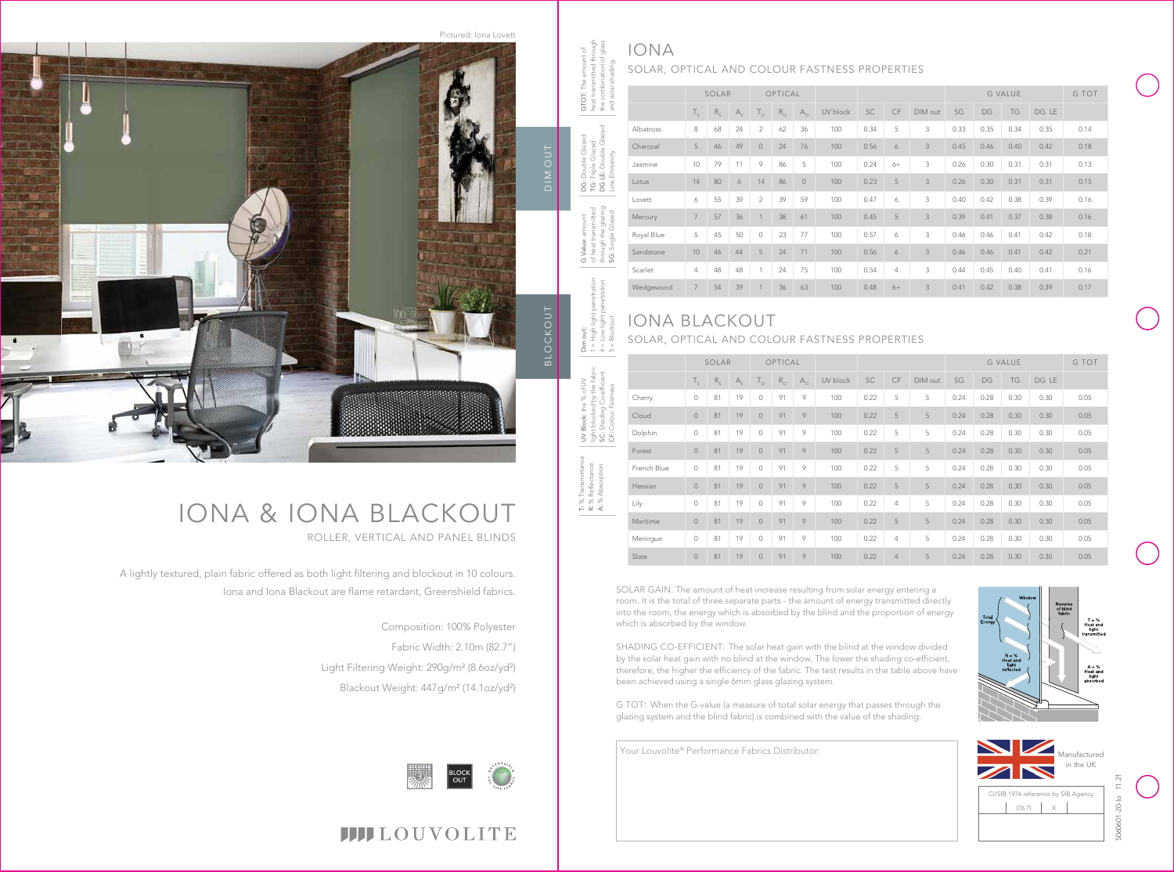DIM OUT BLOCKOUT BLOCKOUT

Your Louvolite® Performance Fabrics Distributor:

A lightly textured, plain fabric offered as both light filtering and blockout in 10 colours. Iona and Iona Blackout are flame retardant, Greenshield fabrics.

# IONA & IONA BLACKOUT ROLLER, VERTICAL AND PANEL BLINDS

Composition: 100% Polyester Fabric Width: 2.10m (82.7") Light Filtering Weight: 290g/m² (8.6oz/yd²) Blackout Weight: 447g/m² (14.1oz/yd²)





|            | SOLAR          |         | OPTICAL |                |             |                |          |      |      | <b>G VALUE</b> |      |      |      | G TOT |      |
|------------|----------------|---------|---------|----------------|-------------|----------------|----------|------|------|----------------|------|------|------|-------|------|
|            | $T_{\rm s}$    | $R_{S}$ | $A_{c}$ | $T_{\circ}$    | $R_{\odot}$ | $A_{\circ}$    | UV block | SC   | CF   | DIM out        | SG   | DG   | TG   | DG LE |      |
| Albatross  | 8              | 68      | 24      | $\overline{2}$ | 62          | 36             | 100      | 0.34 | 5    | 3              | 0.33 | 0.35 | 0.34 | 0.35  | 0.14 |
| Charcoal   | 5              | 46      | 49      | $\circ$        | 24          | 76             | 100      | 0.56 | 6    | 3              | 0.45 | 0.46 | 0.40 | 0.42  | 0.18 |
| Jasmine    | 10             | 79      | 11      | 9              | 86          | 5              | 100      | 0.24 | $6+$ | 3              | 0.26 | 0.30 | 0.31 | 0.31  | 0.13 |
| Lotus      | 14             | 80      | 6       | 14             | 86          | $\overline{0}$ | 100      | 0.23 | 5    | 3              | 0.26 | 0.30 | 0.31 | 0.31  | 0.15 |
| Lovett     | 6              | 55      | 39      | $\overline{2}$ | 39          | 59             | 100      | 0.47 | 6    | 3              | 0.40 | 0.42 | 0.38 | 0.39  | 0.16 |
| Mercury    | $\overline{7}$ | 57      | 36      |                | 38          | 61             | 100      | 0.45 | 5    | 3              | 0.39 | 0.41 | 0.37 | 0.38  | 0.16 |
| Royal Blue | 5              | 45      | 50      | $\circ$        | 23          | 77             | 100      | 0.57 | 6    | 3              | 0.46 | 0.46 | 0.41 | 0.42  | 0.18 |
| Sandstone  | 10             | 46      | 44      | 5              | 24          | 71             | 100      | 0.56 | 6    | 3              | 0.46 | 0.46 | 0.41 | 0.42  | 0.21 |
| Scarlet    | $\overline{4}$ | 48      | 48      | $\overline{1}$ | 24          | 75             | 100      | 0.54 | 4    | 3              | 0.44 | 0.45 | 0.40 | 0.41  | 0.16 |
| Wedgewood  | $\overline{7}$ | 54      | 39      |                | 36          | 63             | 100      | 0.48 | $6+$ | 3              | 0.41 | 0.42 | 0.38 | 0.39  | 0.17 |

light blocked by the fabric SC: Shading Co-efficient UV Block: the % of UV CF: Colour Fastness ミミ

|             | SOLAR       |         | OPTICAL |                |             |              |          |      |                | G VALUE |      |      |      | G TOT |      |
|-------------|-------------|---------|---------|----------------|-------------|--------------|----------|------|----------------|---------|------|------|------|-------|------|
|             | $T_{\rm c}$ | $R_{S}$ | $A_{c}$ | $T_{\circ}$    | $R_{\odot}$ | $A_{\Omega}$ | UV block | SC   | CF             | DIM out | SG   | DG   | TG   | DG LE |      |
| Cherry      | $\circ$     | 81      | 19      | 0              | 91          | 9            | 100      | 0.22 | 5              | 5       | 0.24 | 0.28 | 0.30 | 0.30  | 0.05 |
| Cloud       | $\circ$     | 81      | 19      | $\circ$        | 91          | 9            | 100      | 0.22 | 5              | 5       | 0.24 | 0.28 | 0.30 | 0.30  | 0.05 |
| Dolphin     | $\circ$     | 81      | 19      | 0              | 91          | 9            | 100      | 0.22 | 5              | 5       | 0.24 | 0.28 | 0.30 | 0.30  | 0.05 |
| Forest      | $\circ$     | 81      | 19      | $\overline{0}$ | 91          | 9            | 100      | 0.22 | 5              | 5       | 0.24 | 0.28 | 0.30 | 0.30  | 0.05 |
| French Blue | $\circ$     | 81      | 19      | 0              | 91          | 9            | 100      | 0.22 | 5              | 5       | 0.24 | 0.28 | 0.30 | 0.30  | 0.05 |
| Hessian     | $\circ$     | 81      | 19      | $\overline{0}$ | 91          | 9            | 100      | 0.22 | 5              | 5       | 0.24 | 0.28 | 0.30 | 0.30  | 0.05 |
| Lily        | $\circ$     | 81      | 19      | 0              | 91          | 9            | 100      | 0.22 | $\overline{4}$ | 5       | 0.24 | 0.28 | 0.30 | 0.30  | 0.05 |
| Maritime    | $\circ$     | 81      | 19      | $\overline{0}$ | 91          | 9            | 100      | 0.22 | 5              | 5       | 0.24 | 0.28 | 0.30 | 0.30  | 0.05 |
| Meringue    | $\circ$     | 81      | 19      | 0              | 91          | 9            | 100      | 0.22 | $\overline{4}$ | 5       | 0.24 | 0.28 | 0.30 | 0.30  | 0.05 |
| Slate       | $\circ$     | 81      | 19      | $\overline{0}$ | 91          | 9            | 100      | 0.22 | $\overline{4}$ | 5       | 0.24 | 0.28 | 0.30 | 0.30  | 0.05 |

SOLAR, OPTICAL AND COLOUR FASTNESS PROPERTIES

Dim out: 1 = High light penetration 4 = Low light penetration

5 = Blockout





T: % Transmittance R: % Reflectance A: % Absorption

# IONA the combination of glass and solar shading.

G Value: amount of heat transmitted through the glazing SG: Single Glazed

DG: Double Glazed TG: Triple Glazed DG LE: Double Glazed Low Emissivity.

GTOT: The amount of heat transmitted through

# IONA BLACKOUT SOLAR, OPTICAL AND COLOUR FASTNESS PROPERTIES

Pictured: Iona Lovett

SOLAR GAIN: The amount of heat increase resulting from solar energy entering a room. It is the total of three separate parts - the amount of energy transmitted directly into the room, the energy which is absorbed by the blind and the proportion of energy which is absorbed by the window.

SHADING CO-EFFICIENT: The solar heat gain with the blind at the window divided by the solar heat gain with no blind at the window. The lower the shading co-efficient, therefore, the higher the efficiency of the fabric. The test results in the table above have been achieved using a single 6mm glass glazing system.

G TOT: When the G-value (a measure of total solar energy that passes through the glazing system and the blind fabric) is combined with the value of the shading.



# **IIII**LOUVOLITE